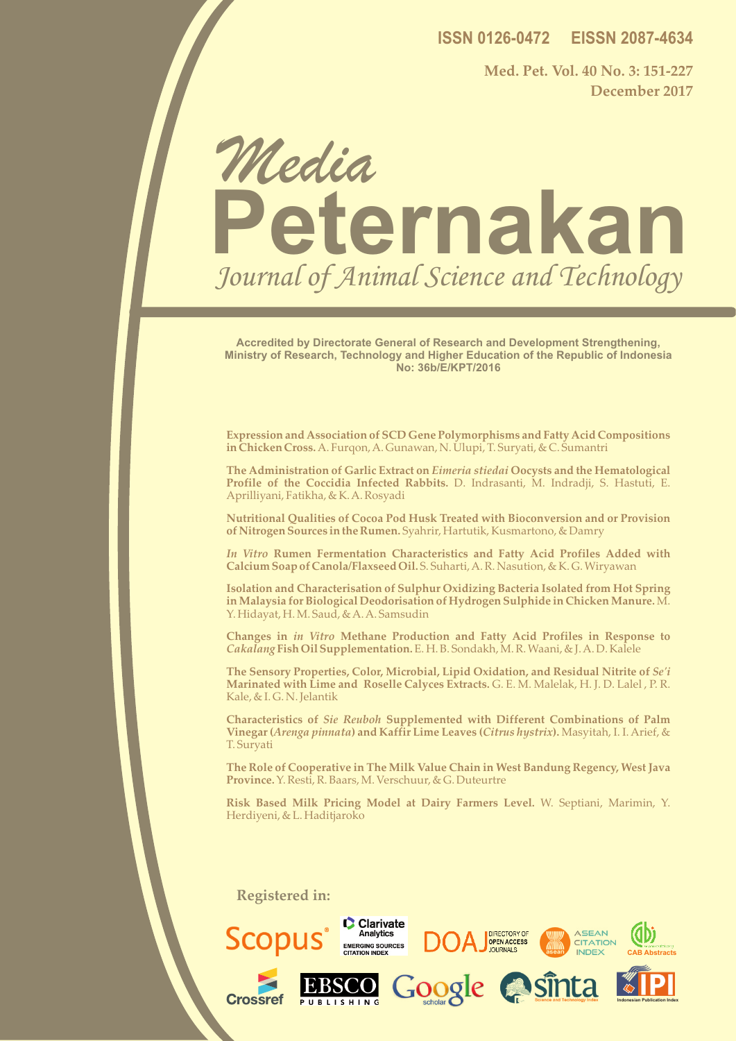**ISSN 0126-0472 EISSN 2087-4634**

**Med. Pet. Vol. 40 No. 3: 151-227 December 2017**

# **Peternakan** Media Journal of Animal Science and Technology

**Accredited by Directorate General of Research and Development Strengthening, Ministry of Research, Technology and Higher Education of the Republic of Indonesia No: 36b/E/KPT/2016**

**Expression and Association of SCD Gene Polymorphisms and Fatty Acid Compositions in Chicken Cross.** A. Furqon, A. Gunawan, N. Ulupi, T. Suryati, & C. Sumantri

**The Administration of Garlic Extract on** *Eimeria stiedai* **Oocysts and the Hematological Profile of the Coccidia Infected Rabbits.** D. Indrasanti, M. Indradji, S. Hastuti, E. Aprilliyani, Fatikha, & K. A. Rosyadi

**Nutritional Qualities of Cocoa Pod Husk Treated with Bioconversion and or Provision of Nitrogen Sources in the Rumen.** Syahrir, Hartutik, Kusmartono, & Damry

*In Vitro* **Rumen Fermentation Characteristics and Fatty Acid Profiles Added with Calcium Soap of Canola/Flaxseed Oil.** S. Suharti, A. R. Nasution, & K. G. Wiryawan

**Isolation and Characterisation of Sulphur Oxidizing Bacteria Isolated from Hot Spring in Malaysia for Biological Deodorisation of Hydrogen Sulphide in Chicken Manure.** M. Y. Hidayat, H. M. Saud, & A. A. Samsudin

**Changes in** *in Vitro* **Methane Production and Fatty Acid Profiles in Response to**  *Cakalang* **Fish Oil Supplementation.** E. H. B. Sondakh, M. R. Waani, & J. A. D. Kalele

**The Sensory Properties, Color, Microbial, Lipid Oxidation, and Residual Nitrite of** *Se'i* **Marinated with Lime and Roselle Calyces Extracts.** G. E. M. Malelak, H. J. D. Lalel , P. R. Kale, & I. G. N. Jelantik

**Characteristics of** *Sie Reuboh* **Supplemented with Different Combinations of Palm Vinegar (***Arenga pinnata***) and Kaffir Lime Leaves (***Citrus hystrix***).** Masyitah, I. I. Arief, & T. Suryati

**The Role of Cooperative in The Milk Value Chain in West Bandung Regency, West Java Province.** Y. Resti, R. Baars, M. Verschuur, & G. Duteurtre

**Risk Based Milk Pricing Model at Dairy Farmers Level.** W. Septiani, Marimin, Y. Herdiyeni, & L. Haditjaroko

**Registered in:**

MEDIA PETERNAKAN

ISSN 0126-0472 EISSN 2087-4634

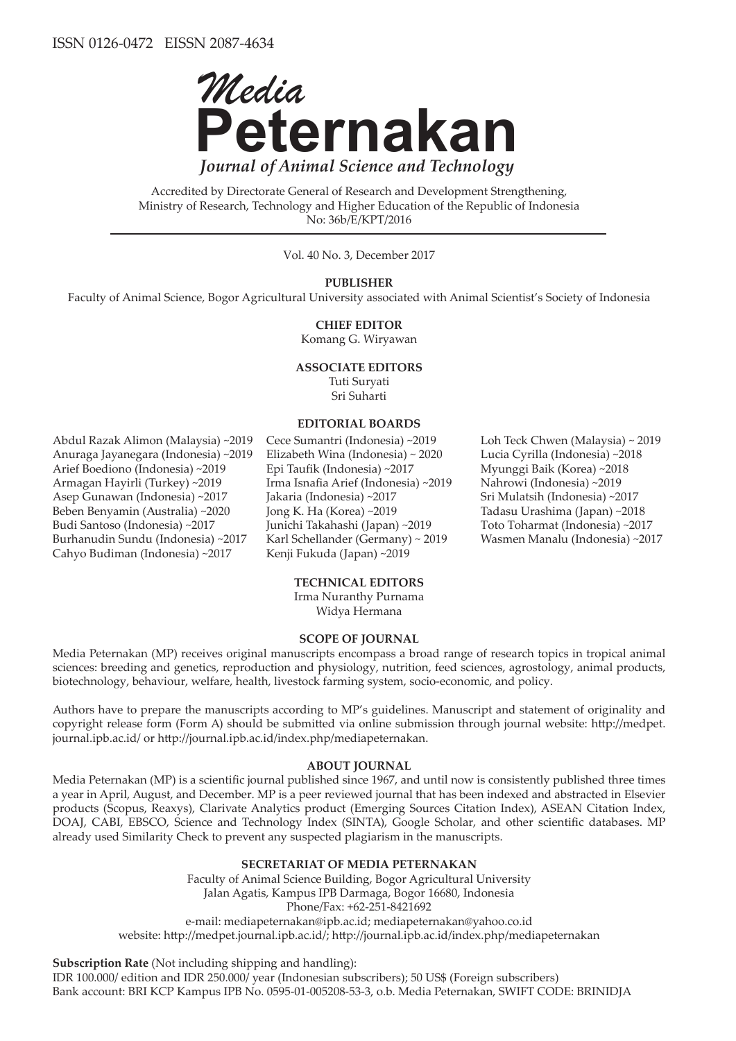

Accredited by Directorate General of Research and Development Strengthening, Ministry of Research, Technology and Higher Education of the Republic of Indonesia No: 36b/E/KPT/2016

Vol. 40 No. 3, December 2017

**PUBLISHER**

Faculty of Animal Science, Bogor Agricultural University associated with Animal Scientist's Society of Indonesia

**CHIEF EDITOR**

Komang G. Wiryawan

## **ASSOCIATE EDITORS**

Tuti Suryati Sri Suharti

#### **EDITORIAL BOARDS**

Abdul Razak Alimon (Malaysia) ~2019 Anuraga Jayanegara (Indonesia) ~2019 Arief Boediono (Indonesia) ~2019 Armagan Hayirli (Turkey) ~2019 Asep Gunawan (Indonesia) ~2017 Beben Benyamin (Australia) ~2020 Budi Santoso (Indonesia) ~2017 Burhanudin Sundu (Indonesia) ~2017 Cahyo Budiman (Indonesia) ~2017

Cece Sumantri (Indonesia) ~2019 Elizabeth Wina (Indonesia) ~ 2020 Epi Taufik (Indonesia) ~2017 Irma Isnafia Arief (Indonesia) ~2019 Jakaria (Indonesia) ~2017 Jong K. Ha (Korea) ~2019 Junichi Takahashi (Japan) ~2019 Karl Schellander (Germany) ~ 2019 Kenji Fukuda (Japan) ~2019

Loh Teck Chwen (Malaysia) ~ 2019 Lucia Cyrilla (Indonesia) ~2018 Myunggi Baik (Korea) ~2018 Nahrowi (Indonesia) ~2019 Sri Mulatsih (Indonesia) ~2017 Tadasu Urashima (Japan) ~2018 Toto Toharmat (Indonesia) ~2017 Wasmen Manalu (Indonesia) ~2017

### **TECHNICAL EDITORS**

Irma Nuranthy Purnama Widya Hermana

### **SCOPE OF JOURNAL**

Media Peternakan (MP) receives original manuscripts encompass a broad range of research topics in tropical animal sciences: breeding and genetics, reproduction and physiology, nutrition, feed sciences, agrostology, animal products, biotechnology, behaviour, welfare, health, livestock farming system, socio-economic, and policy.

Authors have to prepare the manuscripts according to MP's guidelines. Manuscript and statement of originality and copyright release form (Form A) should be submitted via online submission through journal website: http://medpet. journal.ipb.ac.id/ or http://journal.ipb.ac.id/index.php/mediapeternakan.

#### **ABOUT JOURNAL**

Media Peternakan (MP) is a scientific journal published since 1967, and until now is consistently published three times a year in April, August, and December. MP is a peer reviewed journal that has been indexed and abstracted in Elsevier products (Scopus, Reaxys), Clarivate Analytics product (Emerging Sources Citation Index), ASEAN Citation Index, DOAJ, CABI, EBSCO, Science and Technology Index (SINTA), Google Scholar, and other scientific databases. MP already used Similarity Check to prevent any suspected plagiarism in the manuscripts.

### **SECRETARIAT OF MEDIA PETERNAKAN**

Faculty of Animal Science Building, Bogor Agricultural University Jalan Agatis, Kampus IPB Darmaga, Bogor 16680, Indonesia Phone/Fax: +62-251-8421692 e-mail: mediapeternakan@ipb.ac.id; mediapeternakan@yahoo.co.id website: http://medpet.journal.ipb.ac.id/; http://journal.ipb.ac.id/index.php/mediapeternakan

**Subscription Rate** (Not including shipping and handling):

IDR 100.000/ edition and IDR 250.000/ year (Indonesian subscribers); 50 US\$ (Foreign subscribers) Bank account: BRI KCP Kampus IPB No. 0595-01-005208-53-3, o.b. Media Peternakan, SWIFT CODE: BRINIDJA